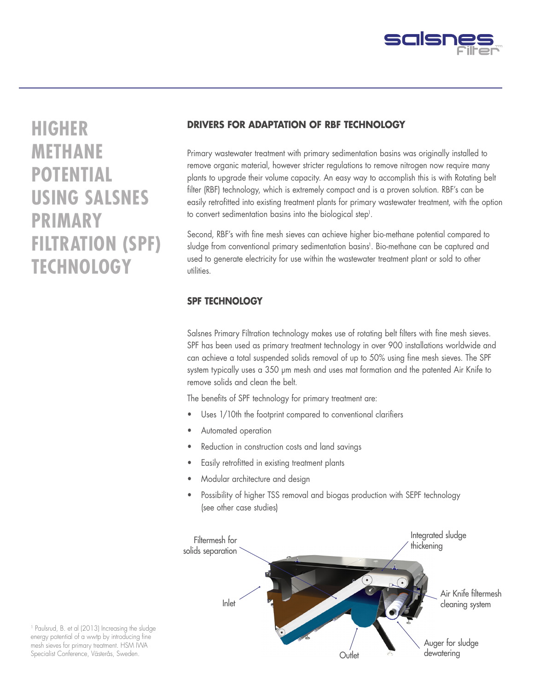

# **HIGHER METHANE POTENTIAL USING SALSNES PRIMARY FILTRATION (SPF) TECHNOLOGY**

## **DRIVERS FOR ADAPTATION OF RBF TECHNOLOGY**

Primary wastewater treatment with primary sedimentation basins was originally installed to remove organic material, however stricter regulations to remove nitrogen now require many plants to upgrade their volume capacity. An easy way to accomplish this is with Rotating belt filter (RBF) technology, which is extremely compact and is a proven solution. RBF's can be easily retrofitted into existing treatment plants for primary wastewater treatment, with the option to convert sedimentation basins into the biological step<sup>1</sup>.

Second, RBF's with fine mesh sieves can achieve higher bio-methane potential compared to sludge from conventional primary sedimentation basins<sup>1</sup>. Bio-methane can be captured and used to generate electricity for use within the wastewater treatment plant or sold to other utilities.

## **SPF TECHNOLOGY**

Salsnes Primary Filtration technology makes use of rotating belt filters with fine mesh sieves. SPF has been used as primary treatment technology in over 900 installations worldwide and can achieve a total suspended solids removal of up to 50% using fine mesh sieves. The SPF system typically uses a 350 μm mesh and uses mat formation and the patented Air Knife to remove solids and clean the belt.

The benefits of SPF technology for primary treatment are:

- Uses 1/10th the footprint compared to conventional clarifiers
- Automated operation
- Reduction in construction costs and land savings
- Easily retrofitted in existing treatment plants
- Modular architecture and design
- Possibility of higher TSS removal and biogas production with SEPF technology (see other case studies)



1 Paulsrud, B. et al (2013) Increasing the sludge energy potential of a wwtp by introducing fine mesh sieves for primary treatment. HSM IWA Specialist Conference, Västerås, Sweden.